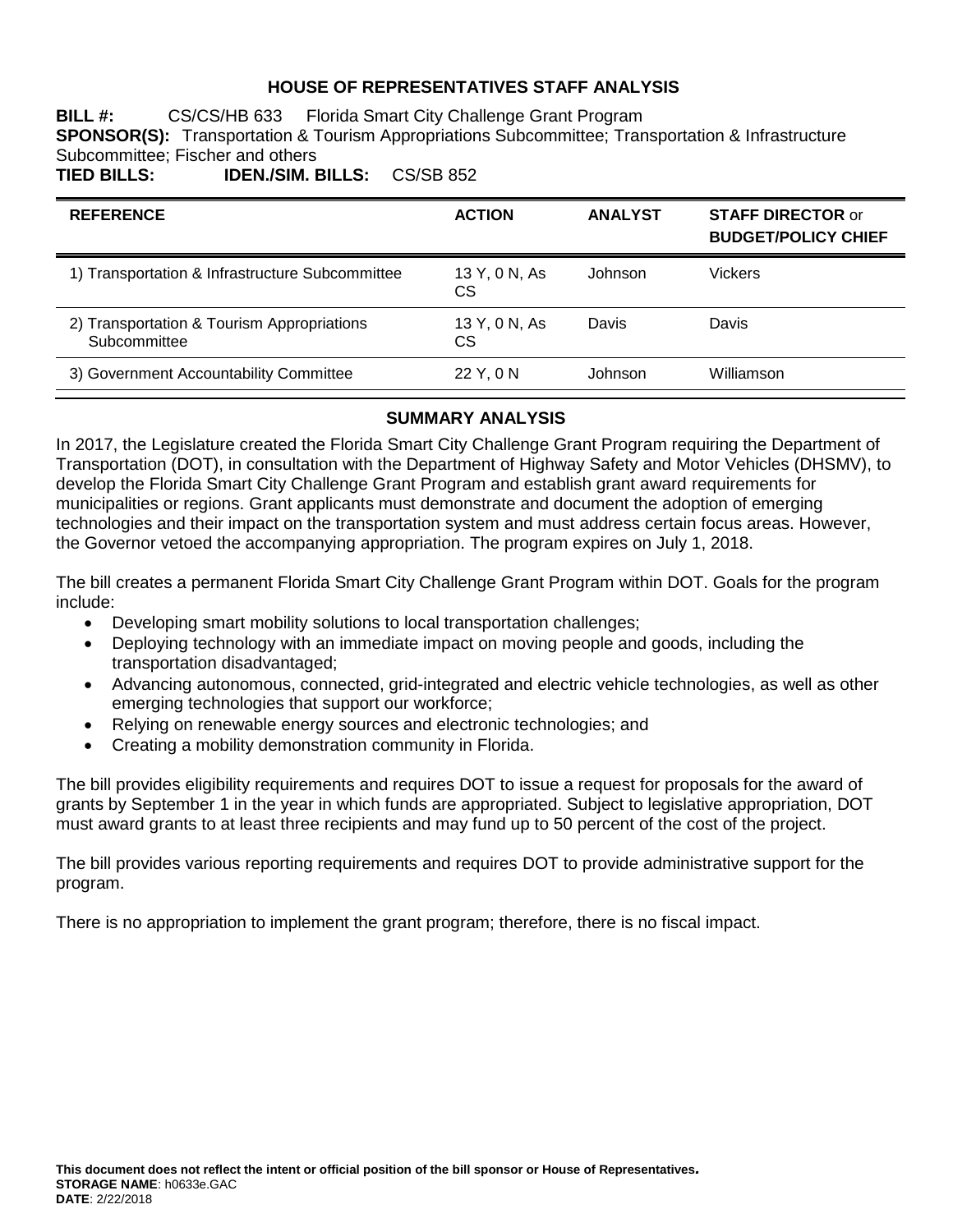### **HOUSE OF REPRESENTATIVES STAFF ANALYSIS**

**BILL #:** CS/CS/HB 633 Florida Smart City Challenge Grant Program **SPONSOR(S):** Transportation & Tourism Appropriations Subcommittee; Transportation & Infrastructure Subcommittee; Fischer and others<br>TIED BILLS: IDEN./SIM. E **TIED BILLS: IDEN./SIM. BILLS:** CS/SB 852

| <b>REFERENCE</b>                                           | <b>ACTION</b>       | <b>ANALYST</b> | <b>STAFF DIRECTOR or</b><br><b>BUDGET/POLICY CHIEF</b> |
|------------------------------------------------------------|---------------------|----------------|--------------------------------------------------------|
| 1) Transportation & Infrastructure Subcommittee            | 13 Y, 0 N, As<br>СS | Johnson        | Vickers                                                |
| 2) Transportation & Tourism Appropriations<br>Subcommittee | 13 Y, 0 N, As<br>СS | Davis          | Davis                                                  |
| 3) Government Accountability Committee                     | 22 Y, 0 N           | Johnson        | Williamson                                             |

#### **SUMMARY ANALYSIS**

In 2017, the Legislature created the Florida Smart City Challenge Grant Program requiring the Department of Transportation (DOT), in consultation with the Department of Highway Safety and Motor Vehicles (DHSMV), to develop the Florida Smart City Challenge Grant Program and establish grant award requirements for municipalities or regions. Grant applicants must demonstrate and document the adoption of emerging technologies and their impact on the transportation system and must address certain focus areas. However, the Governor vetoed the accompanying appropriation. The program expires on July 1, 2018.

The bill creates a permanent Florida Smart City Challenge Grant Program within DOT. Goals for the program include:

- Developing smart mobility solutions to local transportation challenges;
- Deploying technology with an immediate impact on moving people and goods, including the transportation disadvantaged;
- Advancing autonomous, connected, grid-integrated and electric vehicle technologies, as well as other emerging technologies that support our workforce;
- Relying on renewable energy sources and electronic technologies; and
- Creating a mobility demonstration community in Florida.

The bill provides eligibility requirements and requires DOT to issue a request for proposals for the award of grants by September 1 in the year in which funds are appropriated. Subject to legislative appropriation, DOT must award grants to at least three recipients and may fund up to 50 percent of the cost of the project.

The bill provides various reporting requirements and requires DOT to provide administrative support for the program.

There is no appropriation to implement the grant program; therefore, there is no fiscal impact.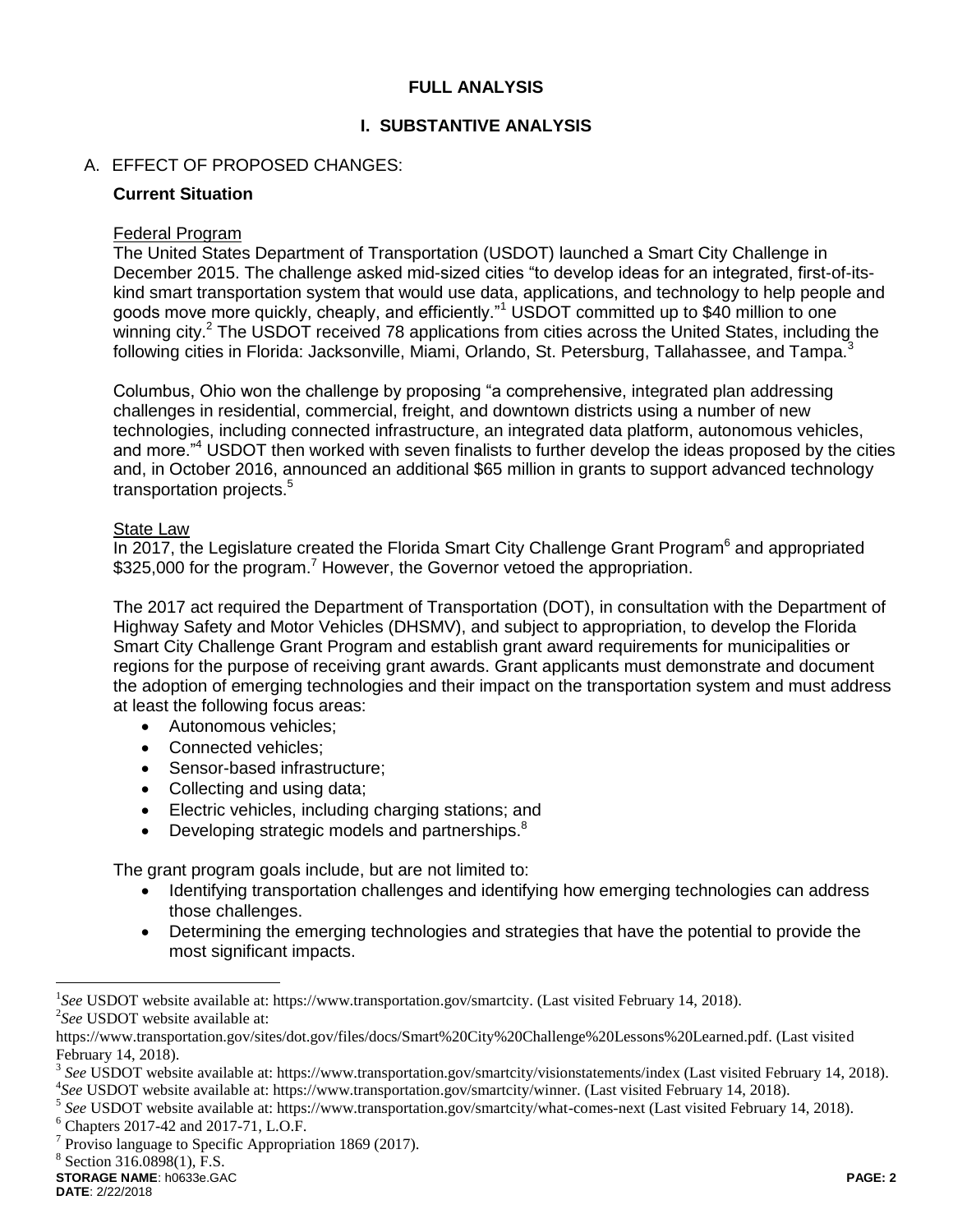### **FULL ANALYSIS**

## **I. SUBSTANTIVE ANALYSIS**

## A. EFFECT OF PROPOSED CHANGES:

#### **Current Situation**

#### Federal Program

The United States Department of Transportation (USDOT) launched a Smart City Challenge in December 2015. The challenge asked mid-sized cities "to develop ideas for an integrated, first-of-itskind smart transportation system that would use data, applications, and technology to help people and goods move more quickly, cheaply, and efficiently."<sup>1</sup> USDOT committed up to \$40 million to one winning city.<sup>2</sup> The USDOT received 78 applications from cities across the United States, including the following cities in Florida: Jacksonville, Miami, Orlando, St. Petersburg, Tallahassee, and Tampa.<sup>3</sup>

Columbus, Ohio won the challenge by proposing "a comprehensive, integrated plan addressing challenges in residential, commercial, freight, and downtown districts using a number of new technologies, including connected infrastructure, an integrated data platform, autonomous vehicles, and more."<sup>4</sup> USDOT then worked with seven finalists to further develop the ideas proposed by the cities and, in October 2016, announced an additional \$65 million in grants to support advanced technology transportation projects.<sup>5</sup>

#### State Law

In 2017, the Legislature created the Florida Smart City Challenge Grant Program<sup>6</sup> and appropriated \$325,000 for the program.<sup>7</sup> However, the Governor vetoed the appropriation.

The 2017 act required the Department of Transportation (DOT), in consultation with the Department of Highway Safety and Motor Vehicles (DHSMV), and subject to appropriation, to develop the Florida Smart City Challenge Grant Program and establish grant award requirements for municipalities or regions for the purpose of receiving grant awards. Grant applicants must demonstrate and document the adoption of emerging technologies and their impact on the transportation system and must address at least the following focus areas:

- Autonomous vehicles:
- Connected vehicles:
- Sensor-based infrastructure;
- Collecting and using data;
- Electric vehicles, including charging stations; and
- Developing strategic models and partnerships.<sup>8</sup>

The grant program goals include, but are not limited to:

- Identifying transportation challenges and identifying how emerging technologies can address those challenges.
- Determining the emerging technologies and strategies that have the potential to provide the most significant impacts.

 $\overline{a}$ 

<sup>&</sup>lt;sup>1</sup>See USDOT website available at: https://www.transportation.gov/smartcity. (Last visited February 14, 2018). 2 *See* USDOT website available at:

https://www.transportation.gov/sites/dot.gov/files/docs/Smart%20City%20Challenge%20Lessons%20Learned.pdf. (Last visited February 14, 2018).

<sup>&</sup>lt;sup>3</sup> See USDOT website available at: https://www.transportation.gov/smartcity/visionstatements/index (Last visited February 14, 2018). 4 *See* USDOT website available at: https://www.transportation.gov/smartcity/winner. (Last visited February 14, 2018).

<sup>5</sup> *See* USDOT website available at: https://www.transportation.gov/smartcity/what-comes-next (Last visited February 14, 2018).

<sup>6</sup> Chapters 2017-42 and 2017-71, L.O.F.

<sup>&</sup>lt;sup>7</sup> Proviso language to Specific Appropriation 1869 (2017).

<sup>&</sup>lt;sup>8</sup> Section 316.0898(1), F.S.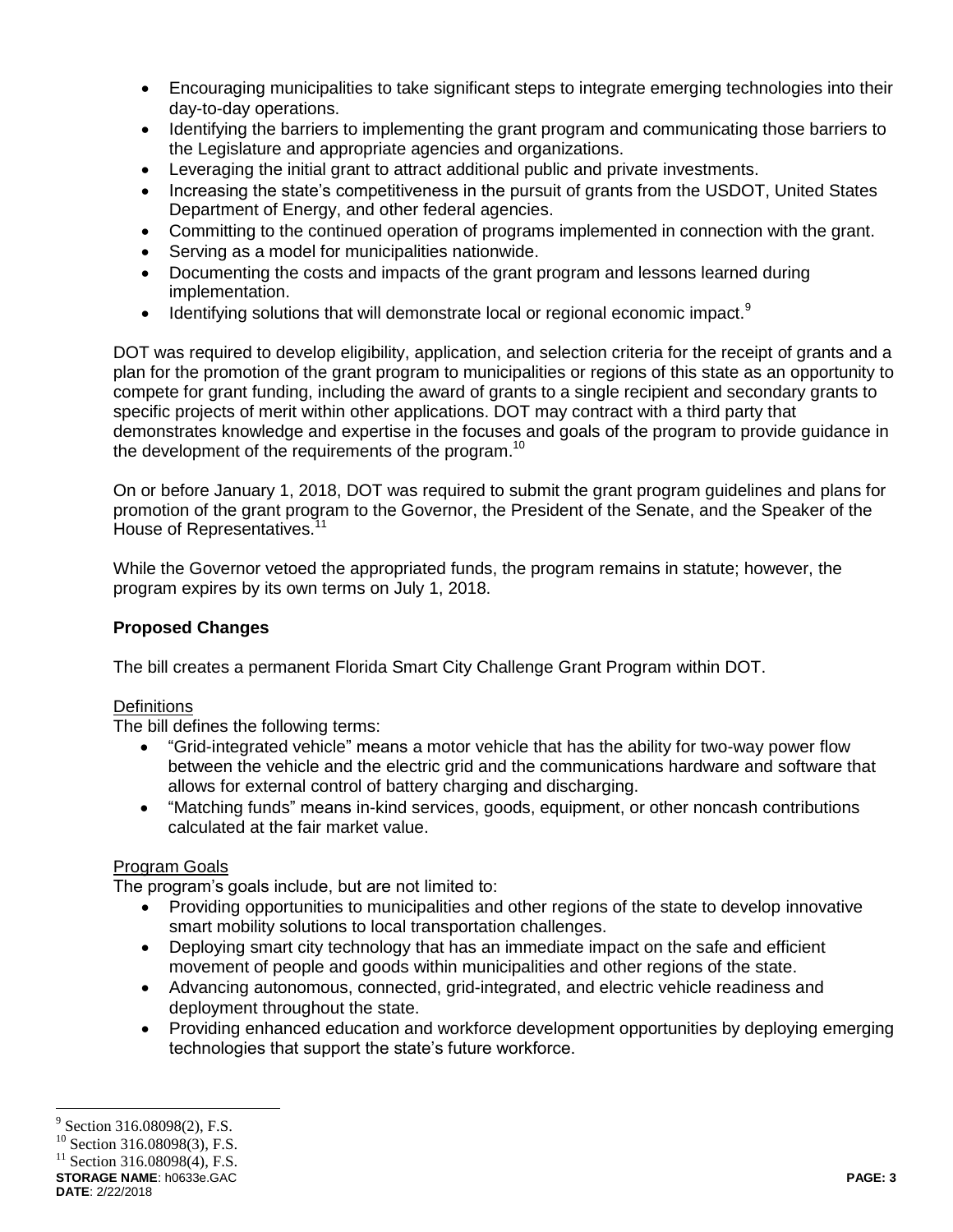- Encouraging municipalities to take significant steps to integrate emerging technologies into their day-to-day operations.
- Identifying the barriers to implementing the grant program and communicating those barriers to the Legislature and appropriate agencies and organizations.
- Leveraging the initial grant to attract additional public and private investments.
- Increasing the state's competitiveness in the pursuit of grants from the USDOT, United States Department of Energy, and other federal agencies.
- Committing to the continued operation of programs implemented in connection with the grant.
- Serving as a model for municipalities nationwide.
- Documenting the costs and impacts of the grant program and lessons learned during implementation.
- **IDENTIFY IDENTIFY IDEOTAT IS NOTE IDEDED** in that will demonstrate local or regional economic impact.<sup>9</sup>

DOT was required to develop eligibility, application, and selection criteria for the receipt of grants and a plan for the promotion of the grant program to municipalities or regions of this state as an opportunity to compete for grant funding, including the award of grants to a single recipient and secondary grants to specific projects of merit within other applications. DOT may contract with a third party that demonstrates knowledge and expertise in the focuses and goals of the program to provide guidance in the development of the requirements of the program.<sup>10</sup>

On or before January 1, 2018, DOT was required to submit the grant program guidelines and plans for promotion of the grant program to the Governor, the President of the Senate, and the Speaker of the House of Representatives.<sup>11</sup>

While the Governor vetoed the appropriated funds, the program remains in statute; however, the program expires by its own terms on July 1, 2018.

# **Proposed Changes**

The bill creates a permanent Florida Smart City Challenge Grant Program within DOT.

### **Definitions**

The bill defines the following terms:

- "Grid-integrated vehicle" means a motor vehicle that has the ability for two-way power flow between the vehicle and the electric grid and the communications hardware and software that allows for external control of battery charging and discharging.
- "Matching funds" means in-kind services, goods, equipment, or other noncash contributions calculated at the fair market value.

### Program Goals

The program's goals include, but are not limited to:

- Providing opportunities to municipalities and other regions of the state to develop innovative smart mobility solutions to local transportation challenges.
- Deploying smart city technology that has an immediate impact on the safe and efficient movement of people and goods within municipalities and other regions of the state.
- Advancing autonomous, connected, grid-integrated, and electric vehicle readiness and deployment throughout the state.
- Providing enhanced education and workforce development opportunities by deploying emerging technologies that support the state's future workforce.

 $\overline{a}$ 

<sup>9</sup> Section 316.08098(2), F.S.

 $10$  Section 316.08098(3), F.S.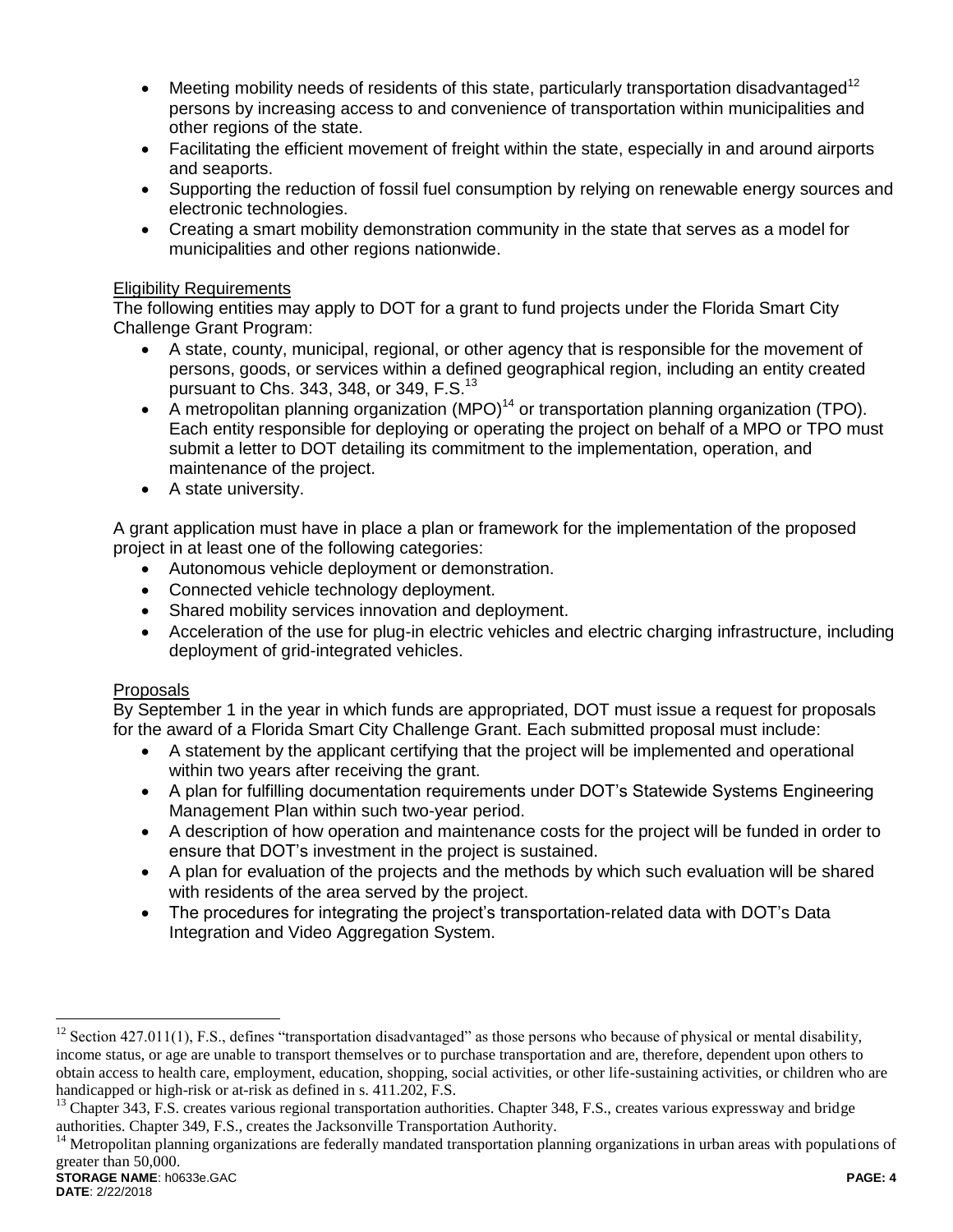- $\bullet$  Meeting mobility needs of residents of this state, particularly transportation disadvantaged<sup>12</sup> persons by increasing access to and convenience of transportation within municipalities and other regions of the state.
- Facilitating the efficient movement of freight within the state, especially in and around airports and seaports.
- Supporting the reduction of fossil fuel consumption by relying on renewable energy sources and electronic technologies.
- Creating a smart mobility demonstration community in the state that serves as a model for municipalities and other regions nationwide.

#### Eligibility Requirements

The following entities may apply to DOT for a grant to fund projects under the Florida Smart City Challenge Grant Program:

- A state, county, municipal, regional, or other agency that is responsible for the movement of persons, goods, or services within a defined geographical region, including an entity created pursuant to Chs. 343, 348, or 349, F.S.<sup>13</sup>
- A metropolitan planning organization (MPO)<sup>14</sup> or transportation planning organization (TPO). Each entity responsible for deploying or operating the project on behalf of a MPO or TPO must submit a letter to DOT detailing its commitment to the implementation, operation, and maintenance of the project.
- A state university.

A grant application must have in place a plan or framework for the implementation of the proposed project in at least one of the following categories:

- Autonomous vehicle deployment or demonstration.
- Connected vehicle technology deployment.
- Shared mobility services innovation and deployment.
- Acceleration of the use for plug-in electric vehicles and electric charging infrastructure, including deployment of grid-integrated vehicles.

### Proposals

By September 1 in the year in which funds are appropriated, DOT must issue a request for proposals for the award of a Florida Smart City Challenge Grant. Each submitted proposal must include:

- A statement by the applicant certifying that the project will be implemented and operational within two years after receiving the grant.
- A plan for fulfilling documentation requirements under DOT's Statewide Systems Engineering Management Plan within such two-year period.
- A description of how operation and maintenance costs for the project will be funded in order to ensure that DOT's investment in the project is sustained.
- A plan for evaluation of the projects and the methods by which such evaluation will be shared with residents of the area served by the project.
- The procedures for integrating the project's transportation-related data with DOT's Data Integration and Video Aggregation System.

 $\overline{a}$ 

 $12$  Section 427.011(1), F.S., defines "transportation disadvantaged" as those persons who because of physical or mental disability, income status, or age are unable to transport themselves or to purchase transportation and are, therefore, dependent upon others to obtain access to health care, employment, education, shopping, social activities, or other life-sustaining activities, or children who are handicapped or high-risk or at-risk as defined in s. 411.202, F.S.

<sup>&</sup>lt;sup>13</sup> Chapter 343, F.S. creates various regional transportation authorities. Chapter 348, F.S., creates various expressway and bridge authorities. Chapter 349, F.S., creates the Jacksonville Transportation Authority.

**STORAGE NAME**: h0633e.GAC **PAGE: 4** <sup>14</sup> Metropolitan planning organizations are federally mandated transportation planning organizations in urban areas with populations of greater than 50,000.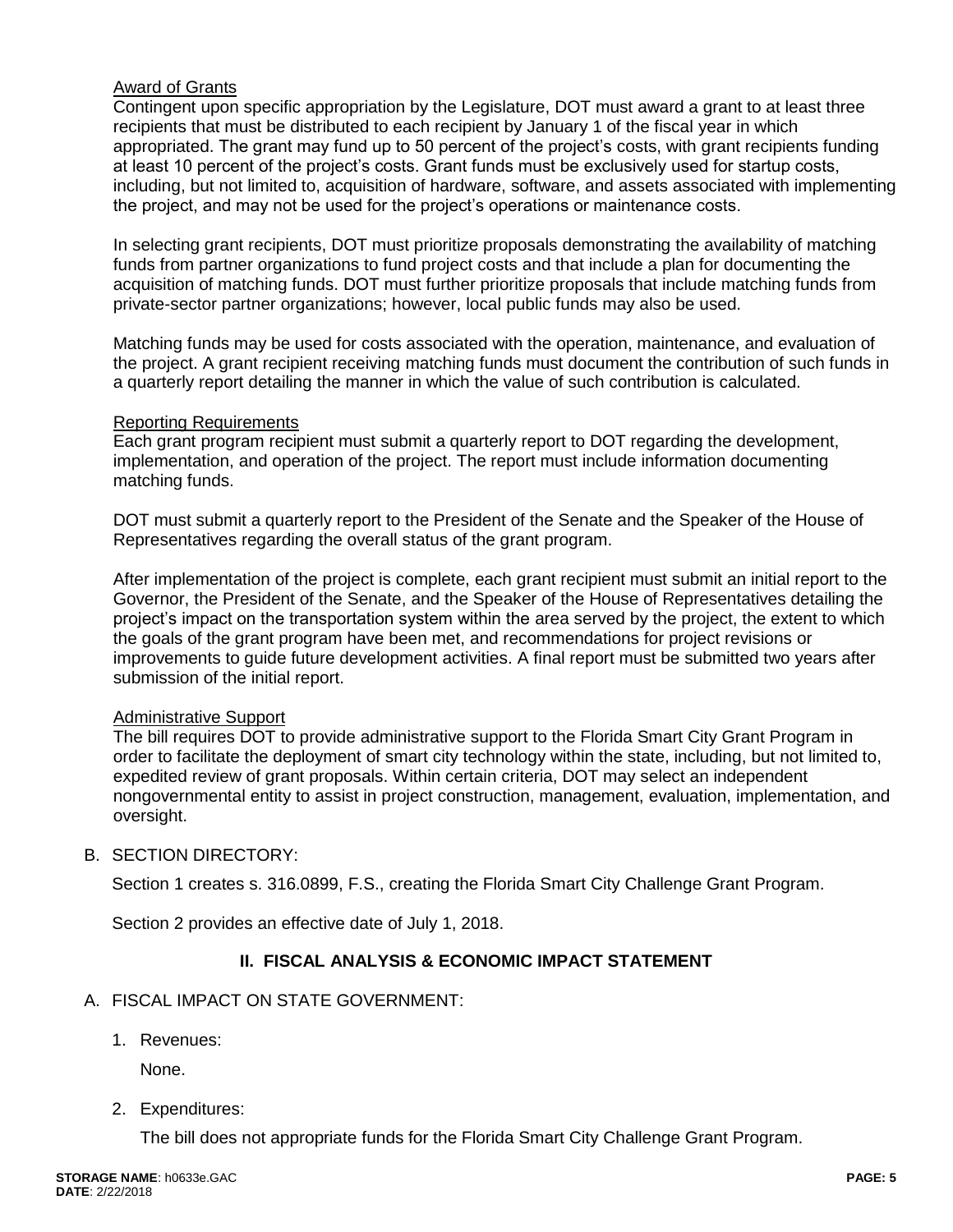### Award of Grants

Contingent upon specific appropriation by the Legislature, DOT must award a grant to at least three recipients that must be distributed to each recipient by January 1 of the fiscal year in which appropriated. The grant may fund up to 50 percent of the project's costs, with grant recipients funding at least 10 percent of the project's costs. Grant funds must be exclusively used for startup costs, including, but not limited to, acquisition of hardware, software, and assets associated with implementing the project, and may not be used for the project's operations or maintenance costs.

In selecting grant recipients, DOT must prioritize proposals demonstrating the availability of matching funds from partner organizations to fund project costs and that include a plan for documenting the acquisition of matching funds. DOT must further prioritize proposals that include matching funds from private-sector partner organizations; however, local public funds may also be used.

Matching funds may be used for costs associated with the operation, maintenance, and evaluation of the project. A grant recipient receiving matching funds must document the contribution of such funds in a quarterly report detailing the manner in which the value of such contribution is calculated.

#### Reporting Requirements

Each grant program recipient must submit a quarterly report to DOT regarding the development, implementation, and operation of the project. The report must include information documenting matching funds.

DOT must submit a quarterly report to the President of the Senate and the Speaker of the House of Representatives regarding the overall status of the grant program.

After implementation of the project is complete, each grant recipient must submit an initial report to the Governor, the President of the Senate, and the Speaker of the House of Representatives detailing the project's impact on the transportation system within the area served by the project, the extent to which the goals of the grant program have been met, and recommendations for project revisions or improvements to guide future development activities. A final report must be submitted two years after submission of the initial report.

### Administrative Support

The bill requires DOT to provide administrative support to the Florida Smart City Grant Program in order to facilitate the deployment of smart city technology within the state, including, but not limited to, expedited review of grant proposals. Within certain criteria, DOT may select an independent nongovernmental entity to assist in project construction, management, evaluation, implementation, and oversight.

### B. SECTION DIRECTORY:

Section 1 creates s. 316.0899, F.S., creating the Florida Smart City Challenge Grant Program.

Section 2 provides an effective date of July 1, 2018.

### **II. FISCAL ANALYSIS & ECONOMIC IMPACT STATEMENT**

#### A. FISCAL IMPACT ON STATE GOVERNMENT:

1. Revenues:

None.

2. Expenditures:

The bill does not appropriate funds for the Florida Smart City Challenge Grant Program.